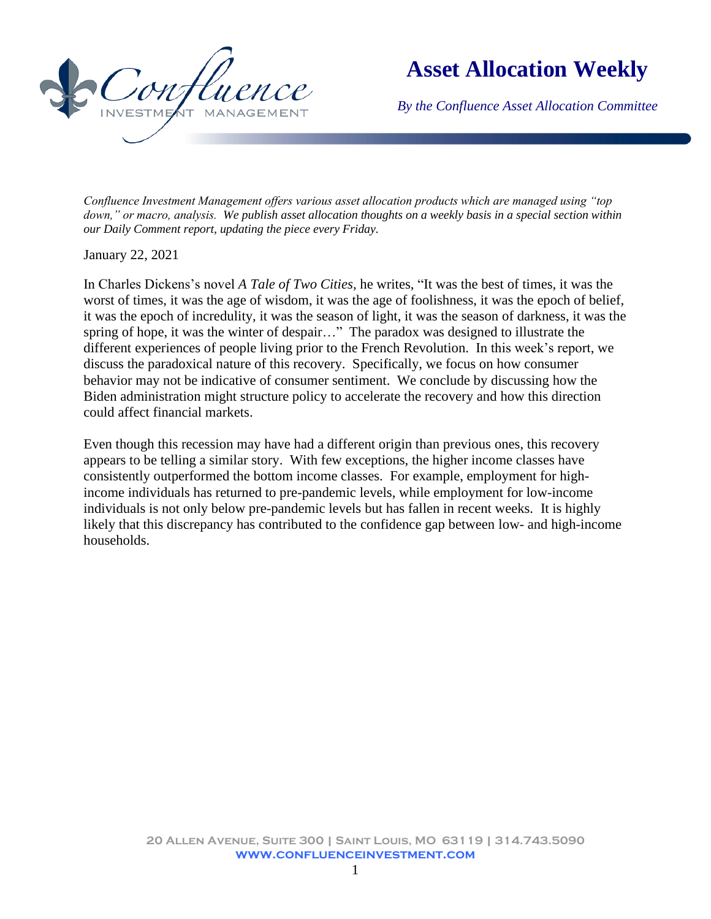

## **Asset Allocation Weekly**

*By the Confluence Asset Allocation Committee*

*Confluence Investment Management offers various asset allocation products which are managed using "top down," or macro, analysis. We publish asset allocation thoughts on a weekly basis in a special section within our Daily Comment report, updating the piece every Friday.* 

January 22, 2021

In Charles Dickens's novel *A Tale of Two Cities,* he writes, "It was the best of times, it was the worst of times, it was the age of wisdom, it was the age of foolishness, it was the epoch of belief, it was the epoch of incredulity, it was the season of light, it was the season of darkness, it was the spring of hope, it was the winter of despair…" The paradox was designed to illustrate the different experiences of people living prior to the French Revolution. In this week's report, we discuss the paradoxical nature of this recovery. Specifically, we focus on how consumer behavior may not be indicative of consumer sentiment. We conclude by discussing how the Biden administration might structure policy to accelerate the recovery and how this direction could affect financial markets.

Even though this recession may have had a different origin than previous ones, this recovery appears to be telling a similar story. With few exceptions, the higher income classes have consistently outperformed the bottom income classes. For example, employment for highincome individuals has returned to pre-pandemic levels, while employment for low-income individuals is not only below pre-pandemic levels but has fallen in recent weeks. It is highly likely that this discrepancy has contributed to the confidence gap between low- and high-income households.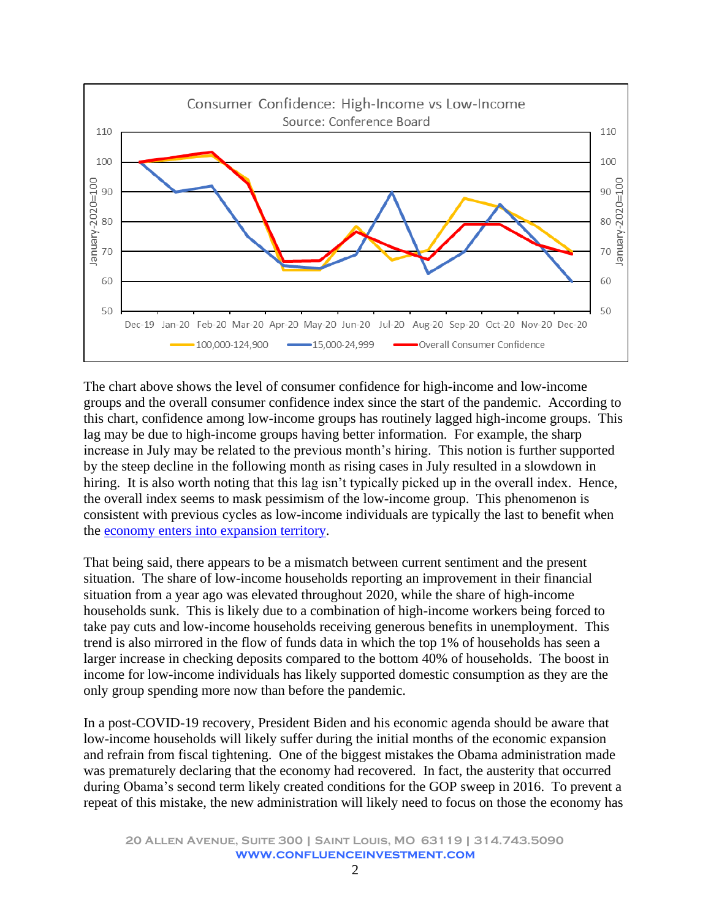

The chart above shows the level of consumer confidence for high-income and low-income groups and the overall consumer confidence index since the start of the pandemic. According to this chart, confidence among low-income groups has routinely lagged high-income groups. This lag may be due to high-income groups having better information. For example, the sharp increase in July may be related to the previous month's hiring. This notion is further supported by the steep decline in the following month as rising cases in July resulted in a slowdown in hiring. It is also worth noting that this lag isn't typically picked up in the overall index. Hence, the overall index seems to mask pessimism of the low-income group. This phenomenon is consistent with previous cycles as low-income individuals are typically the last to benefit when the [economy enters into expansion territory.](https://www.brookings.edu/research/u-s-concentrated-poverty-in-the-wake-of-the-great-recession/)

That being said, there appears to be a mismatch between current sentiment and the present situation. The share of low-income households reporting an improvement in their financial situation from a year ago was elevated throughout 2020, while the share of high-income households sunk. This is likely due to a combination of high-income workers being forced to take pay cuts and low-income households receiving generous benefits in unemployment. This trend is also mirrored in the flow of funds data in which the top 1% of households has seen a larger increase in checking deposits compared to the bottom 40% of households. The boost in income for low-income individuals has likely supported domestic consumption as they are the only group spending more now than before the pandemic.

In a post-COVID-19 recovery, President Biden and his economic agenda should be aware that low-income households will likely suffer during the initial months of the economic expansion and refrain from fiscal tightening. One of the biggest mistakes the Obama administration made was prematurely declaring that the economy had recovered. In fact, the austerity that occurred during Obama's second term likely created conditions for the GOP sweep in 2016. To prevent a repeat of this mistake, the new administration will likely need to focus on those the economy has